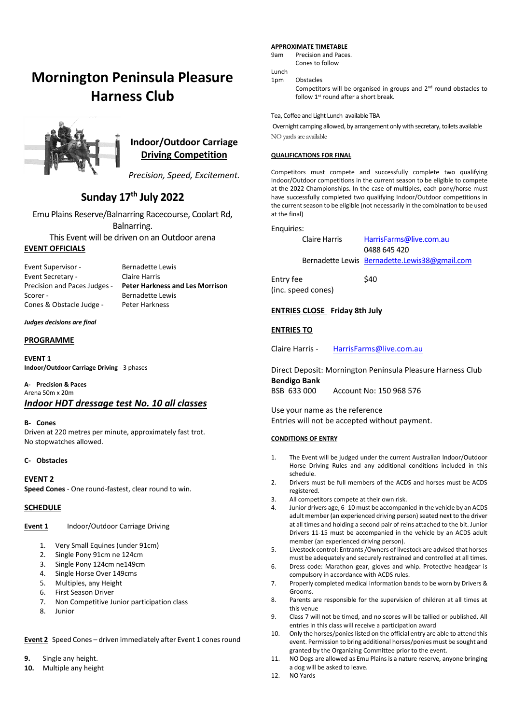# **Mornington Peninsula Pleasure Harness Club**



### **Indoor/Outdoor Carriage Driving Competition**

*Precision, Speed, Excitement.*

## **Sunday 17th July 2022**

Emu Plains Reserve/Balnarring Racecourse, Coolart Rd, Balnarring. This Event will be driven on an Outdoor arena

### **EVENT OFFICIALS**

Event Supervisor - Bernadette Lewis Event Secretary - Claire Harris Scorer - Bernadette Lewis<br>Cones & Obstacle Judge - Peter Harkness Cones & Obstacle Judge -

Precision and Paces Judges - **Peter Harkness and Les Morrison**

#### *Judges decisions are final*

#### **PROGRAMME**

**EVENT 1 Indoor/Outdoor Carriage Driving** - 3 phases

**A- Precision & Paces** Arena 50m x 20m *Indoor HDT dressage test No. 10 all classes* 

#### **B- Cones**

Driven at 220 metres per minute, approximately fast trot. No stopwatches allowed.

#### **C- Obstacles**

#### **EVENT 2**

**Speed Cones** - One round-fastest, clear round to win.

#### **SCHEDULE**

**Event 1** Indoor/Outdoor Carriage Driving

- 1. Very Small Equines (under 91cm)
- 2. Single Pony 91cm ne 124cm
- 3. Single Pony 124cm ne149cm
- 4. Single Horse Over 149cms
- 5. Multiples, any Height
- 6. First Season Driver
- 7. Non Competitive Junior participation class
- 8. Junior

**Event 2** Speed Cones – driven immediately after Event 1 cones round

- **9.** Single any height.
- **10.** Multiple any height

#### **APPROXIMATE TIMETABLE**

9am Precision and Paces. Cones to follow

Lunch

1pm Obstacles

Competitors will be organised in groups and 2<sup>nd</sup> round obstacles to follow  $1<sup>st</sup>$  round after a short break.

Tea, Coffee and Light Lunch available TBA

Overnight camping allowed, by arrangement only with secretary, toilets available NO yards are available

#### **QUALIFICATIONS FOR FINAL**

Competitors must compete and successfully complete two qualifying Indoor/Outdoor competitions in the current season to be eligible to compete at the 2022 Championships. In the case of multiples, each pony/horse must have successfully completed two qualifying Indoor/Outdoor competitions in the current season to be eligible (not necessarily in the combination to be used at the final)

#### Enquiries:

| Claire Harris | HarrisFarms@live.com.au                       |  |  |
|---------------|-----------------------------------------------|--|--|
|               | 0488 645 420                                  |  |  |
|               | Bernadette Lewis Bernadette.Lewis38@gmail.com |  |  |

Entry fee \$40 (inc. speed cones)

#### **ENTRIES CLOSE Friday 8th July**

#### **ENTRIES TO**

Claire Harris - [HarrisFarms@live.com.au](mailto:HarrisFarms@live.com.au)

Direct Deposit: Mornington Peninsula Pleasure Harness Club **Bendigo Bank**

BSB 633 000 Account No: 150 968 576

Use your name as the reference Entries will not be accepted without payment.

#### **CONDITIONS OF ENTRY**

- 1. The Event will be judged under the current Australian Indoor/Outdoor Horse Driving Rules and any additional conditions included in this schedule.
- 2. Drivers must be full members of the ACDS and horses must be ACDS registered.
- 3. All competitors compete at their own risk.
- 4. Junior drivers age, 6 -10 must be accompanied in the vehicle by an ACDS adult member (an experienced driving person) seated next to the driver at all times and holding a second pair of reins attached to the bit. Junior Drivers 11-15 must be accompanied in the vehicle by an ACDS adult member (an experienced driving person).
- 5. Livestock control: Entrants /Owners of livestock are advised that horses must be adequately and securely restrained and controlled at all times.
- 6. Dress code: Marathon gear, gloves and whip. Protective headgear is compulsory in accordance with ACDS rules.
- 7. Properly completed medical information bands to be worn by Drivers & Grooms.
- 8. Parents are responsible for the supervision of children at all times at this venue
- 9. Class 7 will not be timed, and no scores will be tallied or published. All entries in this class will receive a participation award
- 10. Only the horses/ponies listed on the official entry are able to attend this event. Permission to bring additional horses/ponies must be sought and granted by the Organizing Committee prior to the event.
- 11. NO Dogs are allowed as Emu Plains is a nature reserve, anyone bringing a dog will be asked to leave.
- 12. NO Yards